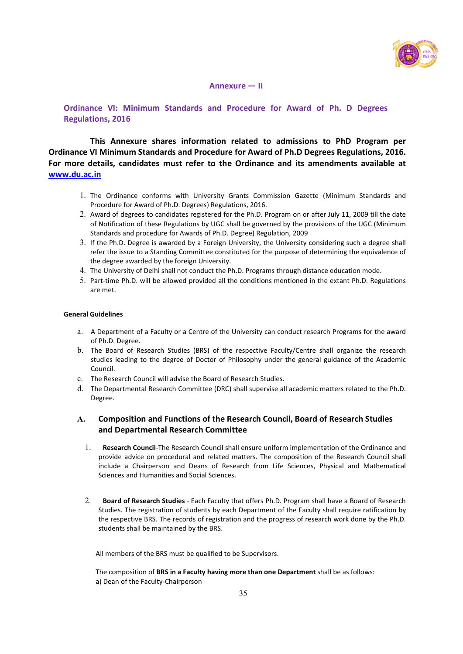

### Annexure  $-$  II

Ordinance VI: Minimum Standards and Procedure for Award of Ph. D Degrees **Regulations, 2016** 

This Annexure shares information related to admissions to PhD Program per Ordinance VI Minimum Standards and Procedure for Award of Ph.D Degrees Regulations, 2016. For more details, candidates must refer to the Ordinance and its amendments available at www.du.ac.in

- 1. The Ordinance conforms with University Grants Commission Gazette (Minimum Standards and Procedure for Award of Ph.D. Degrees) Regulations, 2016.
- 2. Award of degrees to candidates registered for the Ph.D. Program on or after July 11, 2009 till the date of Notification of these Regulations by UGC shall be governed by the provisions of the UGC (Minimum Standards and procedure for Awards of Ph.D. Degree) Regulation, 2009
- 3. If the Ph.D. Degree is awarded by a Foreign University, the University considering such a degree shall refer the issue to a Standing Committee constituted for the purpose of determining the equivalence of the degree awarded by the foreign University.
- 4. The University of Delhi shall not conduct the Ph.D. Programs through distance education mode.
- 5. Part-time Ph.D. will be allowed provided all the conditions mentioned in the extant Ph.D. Regulations are met.

#### **General Guidelines**

- a. A Department of a Faculty or a Centre of the University can conduct research Programs for the award of Ph.D. Degree.
- b. The Board of Research Studies (BRS) of the respective Faculty/Centre shall organize the research studies leading to the degree of Doctor of Philosophy under the general guidance of the Academic Council.
- c. The Research Council will advise the Board of Research Studies.
- d. The Departmental Research Committee (DRC) shall supervise all academic matters related to the Ph.D. Degree.

# A. Composition and Functions of the Research Council, Board of Research Studies and Departmental Research Committee

- 1. Research Council-The Research Council shall ensure uniform implementation of the Ordinance and provide advice on procedural and related matters. The composition of the Research Council shall include a Chairperson and Deans of Research from Life Sciences, Physical and Mathematical Sciences and Humanities and Social Sciences.
- 2. Board of Research Studies Each Faculty that offers Ph.D. Program shall have a Board of Research Studies. The registration of students by each Department of the Faculty shall require ratification by the respective BRS. The records of registration and the progress of research work done by the Ph.D. students shall be maintained by the BRS.

All members of the BRS must be qualified to be Supervisors.

The composition of BRS in a Faculty having more than one Department shall be as follows: a) Dean of the Faculty-Chairperson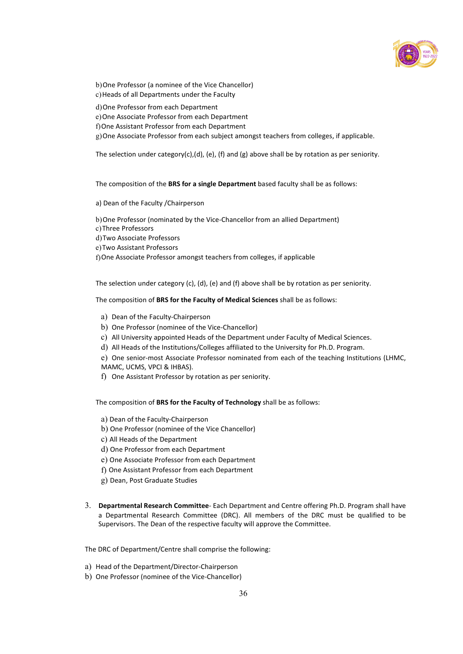

b) One Professor (a nominee of the Vice Chancellor) c) Heads of all Departments under the Faculty

d) One Professor from each Department

- e) One Associate Professor from each Department
- f) One Assistant Professor from each Department

g) One Associate Professor from each subject amongst teachers from colleges, if applicable.

The selection under category(c),(d), (e), (f) and (g) above shall be by rotation as per seniority.

The composition of the BRS for a single Department based faculty shall be as follows:

a) Dean of the Faculty / Chairperson

b) One Professor (nominated by the Vice-Chancellor from an allied Department) c) Three Professors d) Two Associate Professors e) Two Assistant Professors f) One Associate Professor amongst teachers from colleges, if applicable

The selection under category (c), (d), (e) and (f) above shall be by rotation as per seniority.

The composition of BRS for the Faculty of Medical Sciences shall be as follows:

- a) Dean of the Faculty-Chairperson
- b) One Professor (nominee of the Vice-Chancellor)
- c) All University appointed Heads of the Department under Faculty of Medical Sciences.
- d) All Heads of the Institutions/Colleges affiliated to the University for Ph.D. Program.
- e) One senior-most Associate Professor nominated from each of the teaching Institutions (LHMC,
- MAMC, UCMS, VPCI & IHBAS).
- f) One Assistant Professor by rotation as per seniority.

The composition of BRS for the Faculty of Technology shall be as follows:

- a) Dean of the Faculty-Chairperson
- b) One Professor (nominee of the Vice Chancellor)
- c) All Heads of the Department
- d) One Professor from each Department
- e) One Associate Professor from each Department
- f) One Assistant Professor from each Department
- g) Dean, Post Graduate Studies
- 3. Departmental Research Committee- Each Department and Centre offering Ph.D. Program shall have a Departmental Research Committee (DRC). All members of the DRC must be qualified to be Supervisors. The Dean of the respective faculty will approve the Committee.

The DRC of Department/Centre shall comprise the following:

- a) Head of the Department/Director-Chairperson
- b) One Professor (nominee of the Vice-Chancellor)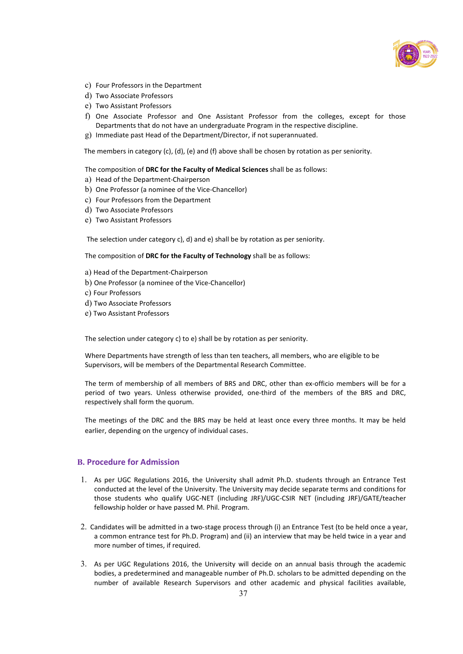

- c) Four Professors in the Department
- d) Two Associate Professors
- e) Two Assistant Professors
- f) One Associate Professor and One Assistant Professor from the colleges, except for those Departments that do not have an undergraduate Program in the respective discipline.
- $g$ ) Immediate past Head of the Department/Director, if not superannuated.

The members in category (c), (d), (e) and (f) above shall be chosen by rotation as per seniority.

The composition of DRC for the Faculty of Medical Sciences shall be as follows:

- a) Head of the Department-Chairperson
- b) One Professor (a nominee of the Vice-Chancellor)
- c) Four Professors from the Department
- d) Two Associate Professors
- e) Two Assistant Professors

The selection under category c), d) and e) shall be by rotation as per seniority.

The composition of DRC for the Faculty of Technology shall be as follows:

- a) Head of the Department-Chairperson
- b) One Professor (a nominee of the Vice-Chancellor)
- c) Four Professors
- d) Two Associate Professors
- e) Two Assistant Professors

The selection under category c) to e) shall be by rotation as per seniority.

Where Departments have strength of less than ten teachers, all members, who are eligible to be Supervisors, will be members of the Departmental Research Committee.

The term of membership of all members of BRS and DRC, other than ex-officio members will be for a period of two years. Unless otherwise provided, one-third of the members of the BRS and DRC, respectively shall form the quorum.

The meetings of the DRC and the BRS may be held at least once every three months. It may be held earlier, depending on the urgency of individual cases.

## **B. Procedure for Admission**

- 1. As per UGC Regulations 2016, the University shall admit Ph.D. students through an Entrance Test conducted at the level of the University. The University may decide separate terms and conditions for those students who qualify UGC-NET (including JRF)/UGC-CSIR NET (including JRF)/GATE/teacher fellowship holder or have passed M. Phil. Program.
- 2. Candidates will be admitted in a two-stage process through (i) an Entrance Test (to be held once a year, a common entrance test for Ph.D. Program) and (ii) an interview that may be held twice in a year and more number of times, if required.
- 3. As per UGC Regulations 2016, the University will decide on an annual basis through the academic bodies, a predetermined and manageable number of Ph.D. scholars to be admitted depending on the number of available Research Supervisors and other academic and physical facilities available,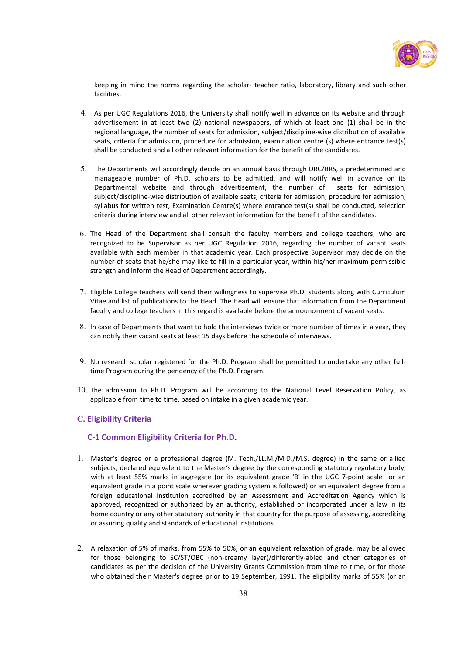

keeping in mind the norms regarding the scholar- teacher ratio, laboratory, library and such other facilities.

- 4. As per UGC Regulations 2016, the University shall notify well in advance on its website and through advertisement in at least two (2) national newspapers, of which at least one (1) shall be in the regional language, the number of seats for admission, subject/discipline-wise distribution of available seats, criteria for admission, procedure for admission, examination centre (s) where entrance test(s) shall be conducted and all other relevant information for the benefit of the candidates.
- 5. The Departments will accordingly decide on an annual basis through DRC/BRS, a predetermined and manageable number of Ph.D. scholars to be admitted, and will notify well in advance on its Departmental website and through advertisement, the number of seats for admission, subject/discipline-wise distribution of available seats, criteria for admission, procedure for admission, syllabus for written test, Examination Centre(s) where entrance test(s) shall be conducted, selection criteria during interview and all other relevant information for the benefit of the candidates.
- 6. The Head of the Department shall consult the faculty members and college teachers, who are recognized to be Supervisor as per UGC Regulation 2016, regarding the number of vacant seats available with each member in that academic year. Each prospective Supervisor may decide on the number of seats that he/she may like to fill in a particular year, within his/her maximum permissible strength and inform the Head of Department accordingly.
- 7. Eligible College teachers will send their willingness to supervise Ph.D. students along with Curriculum Vitae and list of publications to the Head. The Head will ensure that information from the Department faculty and college teachers in this regard is available before the announcement of vacant seats.
- 8. In case of Departments that want to hold the interviews twice or more number of times in a year, they can notify their vacant seats at least 15 days before the schedule of interviews.
- 9. No research scholar registered for the Ph.D. Program shall be permitted to undertake any other fulltime Program during the pendency of the Ph.D. Program.
- $10$ . The admission to Ph.D. Program will be according to the National Level Reservation Policy, as applicable from time to time, based on intake in a given academic year.

### C. Eligibility Criteria

### C-1 Common Eligibility Criteria for Ph.D.

- 1. Master's degree or a professional degree (M. Tech./LL.M./M.D./M.S. degree) in the same or allied subjects, declared equivalent to the Master's degree by the corresponding statutory regulatory body, with at least 55% marks in aggregate (or its equivalent grade 'B' in the UGC 7-point scale or an equivalent grade in a point scale wherever grading system is followed) or an equivalent degree from a foreign educational Institution accredited by an Assessment and Accreditation Agency which is approved, recognized or authorized by an authority, established or incorporated under a law in its home country or any other statutory authority in that country for the purpose of assessing, accrediting or assuring quality and standards of educational institutions.
- 2. A relaxation of 5% of marks, from 55% to 50%, or an equivalent relaxation of grade, may be allowed for those belonging to SC/ST/OBC (non-creamy layer)/differently-abled and other categories of candidates as per the decision of the University Grants Commission from time to time, or for those who obtained their Master's degree prior to 19 September, 1991. The eligibility marks of 55% (or an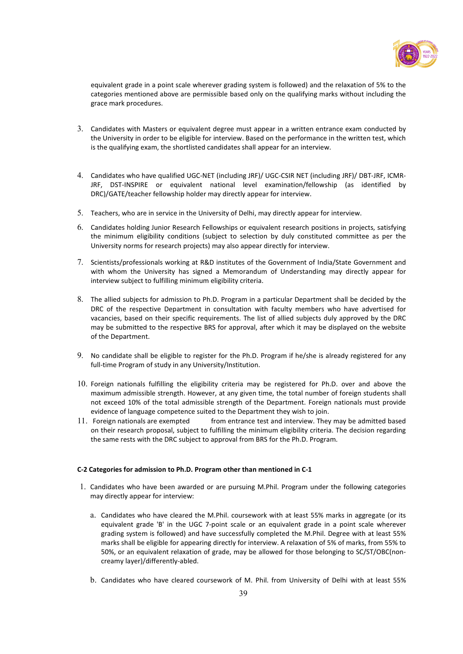

equivalent grade in a point scale wherever grading system is followed) and the relaxation of 5% to the categories mentioned above are permissible based only on the qualifying marks without including the grace mark procedures.

- 3. Candidates with Masters or equivalent degree must appear in a written entrance exam conducted by the University in order to be eligible for interview. Based on the performance in the written test, which is the qualifying exam, the shortlisted candidates shall appear for an interview.
- 4. Candidates who have qualified UGC-NET (including JRF)/ UGC-CSIR NET (including JRF)/ DBT-JRF, ICMR-JRF, DST-INSPIRE or equivalent national level examination/fellowship (as identified by DRC)/GATE/teacher fellowship holder may directly appear for interview.
- 5. Teachers, who are in service in the University of Delhi, may directly appear for interview.
- 6. Candidates holding Junior Research Fellowships or equivalent research positions in projects, satisfying the minimum eligibility conditions (subject to selection by duly constituted committee as per the University norms for research projects) may also appear directly for interview.
- 7. Scientists/professionals working at R&D institutes of the Government of India/State Government and with whom the University has signed a Memorandum of Understanding may directly appear for interview subject to fulfilling minimum eligibility criteria.
- 8. The allied subjects for admission to Ph.D. Program in a particular Department shall be decided by the DRC of the respective Department in consultation with faculty members who have advertised for vacancies, based on their specific requirements. The list of allied subjects duly approved by the DRC may be submitted to the respective BRS for approval, after which it may be displayed on the website of the Department.
- 9. No candidate shall be eligible to register for the Ph.D. Program if he/she is already registered for any full-time Program of study in any University/Institution.
- 10. Foreign nationals fulfilling the eligibility criteria may be registered for Ph.D. over and above the maximum admissible strength. However, at any given time, the total number of foreign students shall not exceed 10% of the total admissible strength of the Department. Foreign nationals must provide evidence of language competence suited to the Department they wish to join.
- $11.$  Foreign nationals are exempted from entrance test and interview. They may be admitted based on their research proposal, subject to fulfilling the minimum eligibility criteria. The decision regarding the same rests with the DRC subject to approval from BRS for the Ph.D. Program.

### C-2 Categories for admission to Ph.D. Program other than mentioned in C-1

- 1. Candidates who have been awarded or are pursuing M.Phil. Program under the following categories may directly appear for interview:
	- a. Candidates who have cleared the M.Phil. coursework with at least 55% marks in aggregate (or its equivalent grade 'B' in the UGC 7-point scale or an equivalent grade in a point scale wherever grading system is followed) and have successfully completed the M.Phil. Degree with at least 55% marks shall be eligible for appearing directly for interview. A relaxation of 5% of marks, from 55% to 50%, or an equivalent relaxation of grade, may be allowed for those belonging to SC/ST/OBC(noncreamy layer)/differently-abled.
	- b. Candidates who have cleared coursework of M. Phil. from University of Delhi with at least 55%